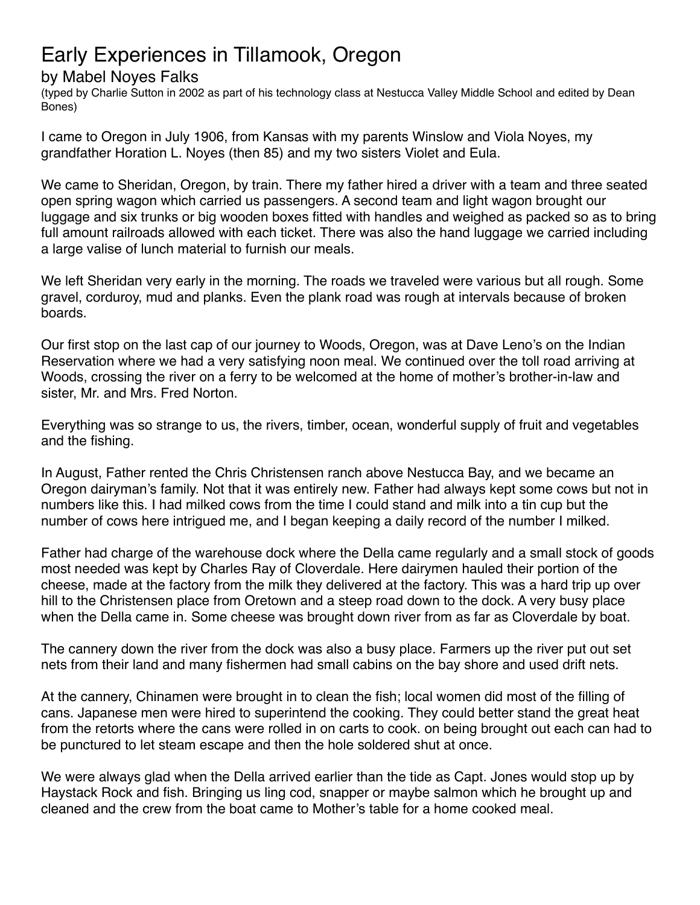## Early Experiences in Tillamook, Oregon

### by Mabel Noyes Falks

(typed by Charlie Sutton in 2002 as part of his technology class at Nestucca Valley Middle School and edited by Dean Bones)

I came to Oregon in July 1906, from Kansas with my parents Winslow and Viola Noyes, my grandfather Horation L. Noyes (then 85) and my two sisters Violet and Eula.

We came to Sheridan, Oregon, by train. There my father hired a driver with a team and three seated open spring wagon which carried us passengers. A second team and light wagon brought our luggage and six trunks or big wooden boxes fitted with handles and weighed as packed so as to bring full amount railroads allowed with each ticket. There was also the hand luggage we carried including a large valise of lunch material to furnish our meals.

We left Sheridan very early in the morning. The roads we traveled were various but all rough. Some gravel, corduroy, mud and planks. Even the plank road was rough at intervals because of broken boards.

Our first stop on the last cap of our journey to Woods, Oregon, was at Dave Leno's on the Indian Reservation where we had a very satisfying noon meal. We continued over the toll road arriving at Woods, crossing the river on a ferry to be welcomed at the home of mother's brother-in-law and sister, Mr. and Mrs. Fred Norton.

Everything was so strange to us, the rivers, timber, ocean, wonderful supply of fruit and vegetables and the fishing.

In August, Father rented the Chris Christensen ranch above Nestucca Bay, and we became an Oregon dairyman's family. Not that it was entirely new. Father had always kept some cows but not in numbers like this. I had milked cows from the time I could stand and milk into a tin cup but the number of cows here intrigued me, and I began keeping a daily record of the number I milked.

Father had charge of the warehouse dock where the Della came regularly and a small stock of goods most needed was kept by Charles Ray of Cloverdale. Here dairymen hauled their portion of the cheese, made at the factory from the milk they delivered at the factory. This was a hard trip up over hill to the Christensen place from Oretown and a steep road down to the dock. A very busy place when the Della came in. Some cheese was brought down river from as far as Cloverdale by boat.

The cannery down the river from the dock was also a busy place. Farmers up the river put out set nets from their land and many fishermen had small cabins on the bay shore and used drift nets.

At the cannery, Chinamen were brought in to clean the fish; local women did most of the filling of cans. Japanese men were hired to superintend the cooking. They could better stand the great heat from the retorts where the cans were rolled in on carts to cook. on being brought out each can had to be punctured to let steam escape and then the hole soldered shut at once.

We were always glad when the Della arrived earlier than the tide as Capt. Jones would stop up by Haystack Rock and fish. Bringing us ling cod, snapper or maybe salmon which he brought up and cleaned and the crew from the boat came to Mother's table for a home cooked meal.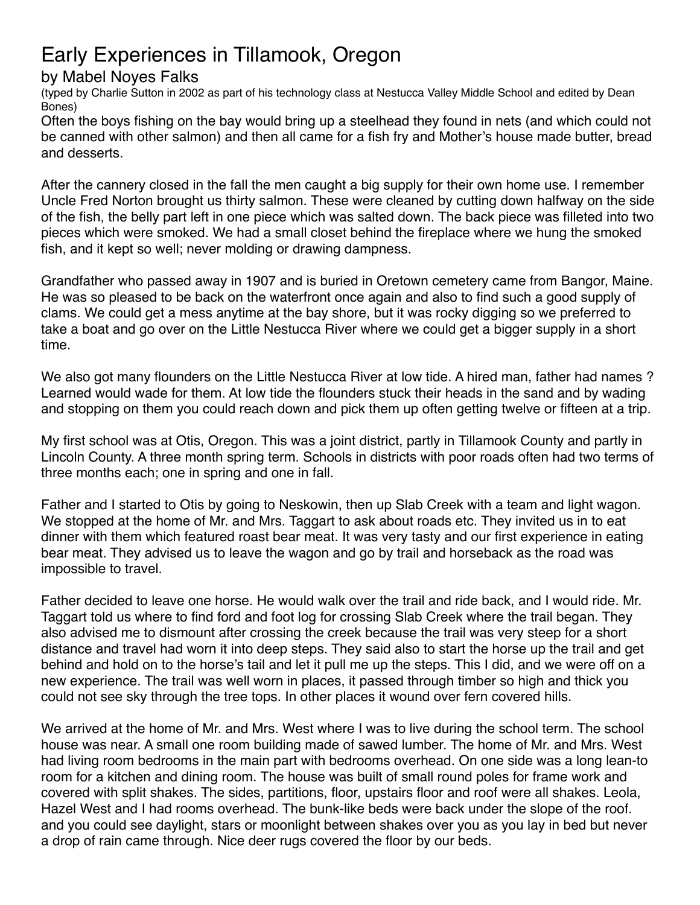# Early Experiences in Tillamook, Oregon

#### by Mabel Noyes Falks

(typed by Charlie Sutton in 2002 as part of his technology class at Nestucca Valley Middle School and edited by Dean Bones)

Often the boys fishing on the bay would bring up a steelhead they found in nets (and which could not be canned with other salmon) and then all came for a fish fry and Mother's house made butter, bread and desserts.

After the cannery closed in the fall the men caught a big supply for their own home use. I remember Uncle Fred Norton brought us thirty salmon. These were cleaned by cutting down halfway on the side of the fish, the belly part left in one piece which was salted down. The back piece was filleted into two pieces which were smoked. We had a small closet behind the fireplace where we hung the smoked fish, and it kept so well; never molding or drawing dampness.

Grandfather who passed away in 1907 and is buried in Oretown cemetery came from Bangor, Maine. He was so pleased to be back on the waterfront once again and also to find such a good supply of clams. We could get a mess anytime at the bay shore, but it was rocky digging so we preferred to take a boat and go over on the Little Nestucca River where we could get a bigger supply in a short time.

We also got many flounders on the Little Nestucca River at low tide. A hired man, father had names ? Learned would wade for them. At low tide the flounders stuck their heads in the sand and by wading and stopping on them you could reach down and pick them up often getting twelve or fifteen at a trip.

My first school was at Otis, Oregon. This was a joint district, partly in Tillamook County and partly in Lincoln County. A three month spring term. Schools in districts with poor roads often had two terms of three months each; one in spring and one in fall.

Father and I started to Otis by going to Neskowin, then up Slab Creek with a team and light wagon. We stopped at the home of Mr. and Mrs. Taggart to ask about roads etc. They invited us in to eat dinner with them which featured roast bear meat. It was very tasty and our first experience in eating bear meat. They advised us to leave the wagon and go by trail and horseback as the road was impossible to travel.

Father decided to leave one horse. He would walk over the trail and ride back, and I would ride. Mr. Taggart told us where to find ford and foot log for crossing Slab Creek where the trail began. They also advised me to dismount after crossing the creek because the trail was very steep for a short distance and travel had worn it into deep steps. They said also to start the horse up the trail and get behind and hold on to the horse's tail and let it pull me up the steps. This I did, and we were off on a new experience. The trail was well worn in places, it passed through timber so high and thick you could not see sky through the tree tops. In other places it wound over fern covered hills.

We arrived at the home of Mr. and Mrs. West where I was to live during the school term. The school house was near. A small one room building made of sawed lumber. The home of Mr. and Mrs. West had living room bedrooms in the main part with bedrooms overhead. On one side was a long lean-to room for a kitchen and dining room. The house was built of small round poles for frame work and covered with split shakes. The sides, partitions, floor, upstairs floor and roof were all shakes. Leola, Hazel West and I had rooms overhead. The bunk-like beds were back under the slope of the roof. and you could see daylight, stars or moonlight between shakes over you as you lay in bed but never a drop of rain came through. Nice deer rugs covered the floor by our beds.